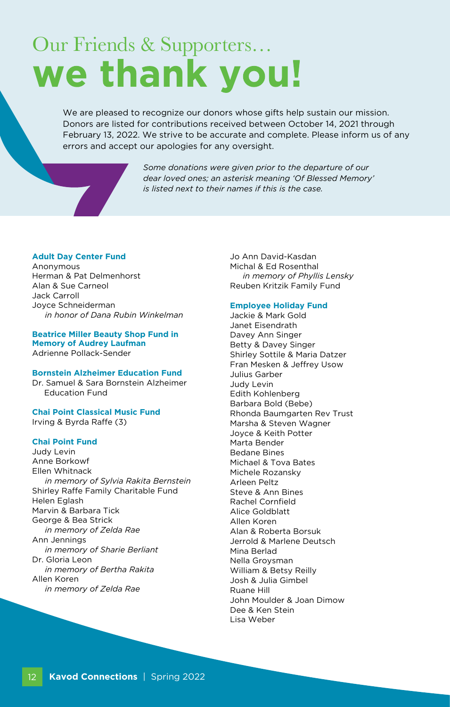# Our Friends & Supporters… we thank you!

We are pleased to recognize our donors whose gifts help sustain our mission. Donors are listed for contributions received between October 14, 2021 through February 13, 2022. We strive to be accurate and complete. Please inform us of any errors and accept our apologies for any oversight.

> *Some donations were given prior to the departure of our dear loved ones; an asterisk meaning 'Of Blessed Memory' is listed next to their names if this is the case.*

# **Adult Day Center Fund**

Anonymous Herman & Pat Delmenhorst Alan & Sue Carneol Jack Carroll Joyce Schneiderman *in honor of Dana Rubin Winkelman*

**Beatrice Miller Beauty Shop Fund in Memory of Audrey Laufman**  Adrienne Pollack-Sender

**Bornstein Alzheimer Education Fund** Dr. Samuel & Sara Bornstein Alzheimer Education Fund

**Chai Point Classical Music Fund** Irving & Byrda Raffe (3)

# **Chai Point Fund**

Judy Levin Anne Borkowf Ellen Whitnack *in memory of Sylvia Rakita Bernstein* Shirley Raffe Family Charitable Fund Helen Eglash Marvin & Barbara Tick George & Bea Strick *in memory of Zelda Rae*  Ann Jennings *in memory of Sharie Berliant* Dr. Gloria Leon *in memory of Bertha Rakita* Allen Koren *in memory of Zelda Rae*

Jo Ann David-Kasdan Michal & Ed Rosenthal *in memory of Phyllis Lensky* Reuben Kritzik Family Fund

# **Employee Holiday Fund**

Jackie & Mark Gold Janet Eisendrath Davey Ann Singer Betty & Davey Singer Shirley Sottile & Maria Datzer Fran Mesken & Jeffrey Usow Julius Garber Judy Levin Edith Kohlenberg Barbara Bold (Bebe) Rhonda Baumgarten Rev Trust Marsha & Steven Wagner Joyce & Keith Potter Marta Bender Bedane Bines Michael & Tova Bates Michele Rozansky Arleen Peltz Steve & Ann Bines Rachel Cornfield Alice Goldblatt Allen Koren Alan & Roberta Borsuk Jerrold & Marlene Deutsch Mina Berlad Nella Groysman William & Betsy Reilly Josh & Julia Gimbel Ruane Hill John Moulder & Joan Dimow Dee & Ken Stein Lisa Weber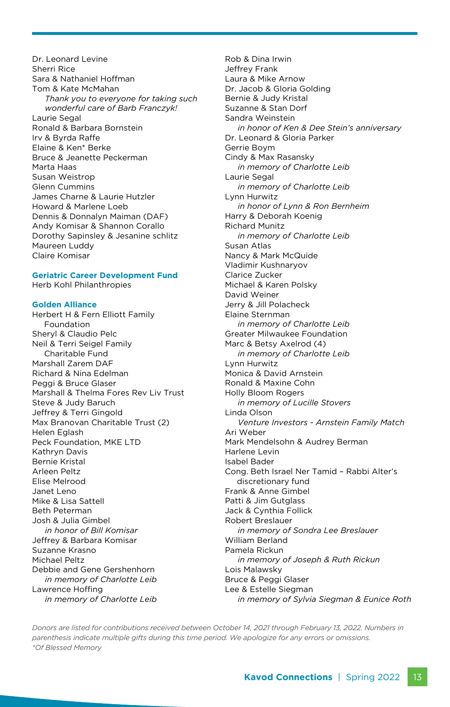Dr. Leonard Levine Sherri Rice Sara & Nathaniel Hoffman Tom & Kate McMahan *Thank you to everyone for taking such wonderful care of Barb Franczyk!* Laurie Segal Ronald & Barbara Bornstein Irv & Byrda Raffe Elaine & Ken\* Berke Bruce & Jeanette Peckerman Marta Haas Susan Weistrop Glenn Cummins James Charne & Laurie Hutzler Howard & Marlene Loeb Dennis & Donnalyn Maiman (DAF) Andy Komisar & Shannon Corallo Dorothy Sapinsley & Jesanine schlitz Maureen Luddy Claire Komisar

# **Geriatric Career Development Fund**

Herb Kohl Philanthropies

# **Golden Alliance**

Herbert H & Fern Elliott Family Foundation Sheryl & Claudio Pelc Neil & Terri Seigel Family Charitable Fund Marshall Zarem DAF Richard & Nina Edelman Peggi & Bruce Glaser Marshall & Thelma Fores Rev Liv Trust Steve & Judy Baruch Jeffrey & Terri Gingold Max Branovan Charitable Trust (2) Helen Eglash Peck Foundation, MKE LTD Kathryn Davis Bernie Kristal Arleen Peltz Elise Melrood Janet Leno Mike & Lisa Sattell Beth Peterman Josh & Julia Gimbel *in honor of Bill Komisar* Jeffrey & Barbara Komisar Suzanne Krasno Michael Peltz Debbie and Gene Gershenhorn *in memory of Charlotte Leib* Lawrence Hoffing *in memory of Charlotte Leib*

Rob & Dina Irwin Jeffrey Frank Laura & Mike Arnow Dr. Jacob & Gloria Golding Bernie & Judy Kristal Suzanne & Stan Dorf Sandra Weinstein *in honor of Ken & Dee Stein's anniversary* Dr. Leonard & Gloria Parker Gerrie Boym Cindy & Max Rasansky *in memory of Charlotte Leib* Laurie Segal *in memory of Charlotte Leib* Lynn Hurwitz *in honor of Lynn & Ron Bernheim* Harry & Deborah Koenig Richard Munitz *in memory of Charlotte Leib* Susan Atlas Nancy & Mark McQuide Vladimir Kushnaryov Clarice Zucker Michael & Karen Polsky David Weiner Jerry & Jill Polacheck Elaine Sternman *in memory of Charlotte Leib* Greater Milwaukee Foundation Marc & Betsy Axelrod (4) *in memory of Charlotte Leib* Lynn Hurwitz Monica & David Arnstein Ronald & Maxine Cohn Holly Bloom Rogers *in memory of Lucille Stovers* Linda Olson *Venture Investors - Arnstein Family Match* Ari Weber Mark Mendelsohn & Audrey Berman Harlene Levin Isabel Bader Cong. Beth Israel Ner Tamid – Rabbi Alter's discretionary fund Frank & Anne Gimbel Patti & Jim Gutglass Jack & Cynthia Follick Robert Breslauer *in memory of Sondra Lee Breslauer* William Berland Pamela Rickun *in memory of Joseph & Ruth Rickun* Lois Malawsky Bruce & Peggi Glaser Lee & Estelle Siegman *in memory of Sylvia Siegman & Eunice Roth*

*Donors are listed for contributions received between October 14, 2021 through February 13, 2022. Numbers in parenthesis indicate multiple gifts during this time period. We apologize for any errors or omissions. \*Of Blessed Memory*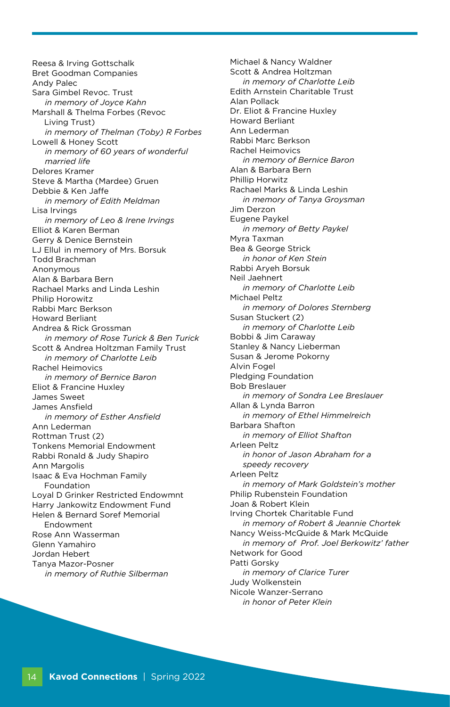Reesa & Irving Gottschalk Bret Goodman Companies Andy Palec Sara Gimbel Revoc. Trust *in memory of Joyce Kahn* Marshall & Thelma Forbes (Revoc Living Trust) *in memory of Thelman (Toby) R Forbes* Lowell & Honey Scott *in memory of 60 years of wonderful married life* Delores Kramer Steve & Martha (Mardee) Gruen Debbie & Ken Jaffe *in memory of Edith Meldman* Lisa Irvings *in memory of Leo & Irene Irvings* Elliot & Karen Berman Gerry & Denice Bernstein LJ Ellul in memory of Mrs. Borsuk Todd Brachman Anonymous Alan & Barbara Bern Rachael Marks and Linda Leshin Philip Horowitz Rabbi Marc Berkson Howard Berliant Andrea & Rick Grossman *in memory of Rose Turick & Ben Turick* Scott & Andrea Holtzman Family Trust *in memory of Charlotte Leib* Rachel Heimovics *in memory of Bernice Baron* Eliot & Francine Huxley James Sweet James Ansfield *in memory of Esther Ansfield* Ann Lederman Rottman Trust (2) Tonkens Memorial Endowment Rabbi Ronald & Judy Shapiro Ann Margolis Isaac & Eva Hochman Family Foundation Loyal D Grinker Restricted Endowmnt Harry Jankowitz Endowment Fund Helen & Bernard Soref Memorial Endowment Rose Ann Wasserman Glenn Yamahiro Jordan Hebert Tanya Mazor-Posner *in memory of Ruthie Silberman*

Michael & Nancy Waldner Scott & Andrea Holtzman *in memory of Charlotte Leib* Edith Arnstein Charitable Trust Alan Pollack Dr. Eliot & Francine Huxley Howard Berliant Ann Lederman Rabbi Marc Berkson Rachel Heimovics *in memory of Bernice Baron* Alan & Barbara Bern Phillip Horwitz Rachael Marks & Linda Leshin *in memory of Tanya Groysman* Jim Derzon Eugene Paykel *in memory of Betty Paykel* Myra Taxman Bea & George Strick *in honor of Ken Stein* Rabbi Aryeh Borsuk Neil Jaehnert *in memory of Charlotte Leib* Michael Peltz *in memory of Dolores Sternberg* Susan Stuckert (2) *in memory of Charlotte Leib* Bobbi & Jim Caraway Stanley & Nancy Lieberman Susan & Jerome Pokorny Alvin Fogel Pledging Foundation Bob Breslauer *in memory of Sondra Lee Breslauer* Allan & Lynda Barron *in memory of Ethel Himmelreich* Barbara Shafton *in memory of Elliot Shafton* Arleen Peltz *in honor of Jason Abraham for a speedy recovery* Arleen Peltz *in memory of Mark Goldstein's mother* Philip Rubenstein Foundation Joan & Robert Klein Irving Chortek Charitable Fund *in memory of Robert & Jeannie Chortek* Nancy Weiss-McQuide & Mark McQuide *in memory of Prof. Joel Berkowitz' father* Network for Good Patti Gorsky *in memory of Clarice Turer* Judy Wolkenstein Nicole Wanzer-Serrano *in honor of Peter Klein*